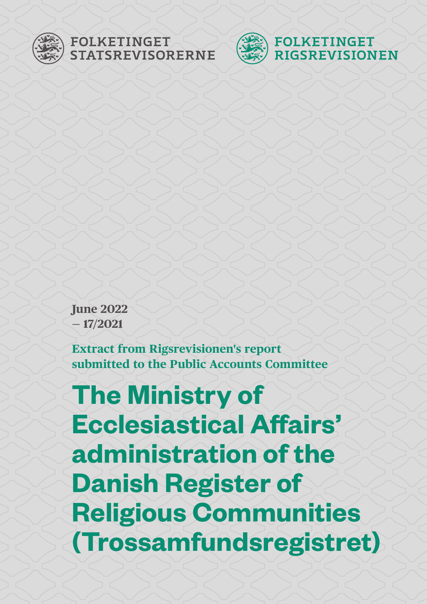

### FOLKETINGET **STATSREVISORERNE**



**June 2022 — 17/2021**

**Extract from Rigsrevisionen's report submitted to the Public Accounts Committee**

**The Ministry of Ecclesiastical Affairs' administration of the Danish Register of Religious Communities (Trossamfundsregistret)**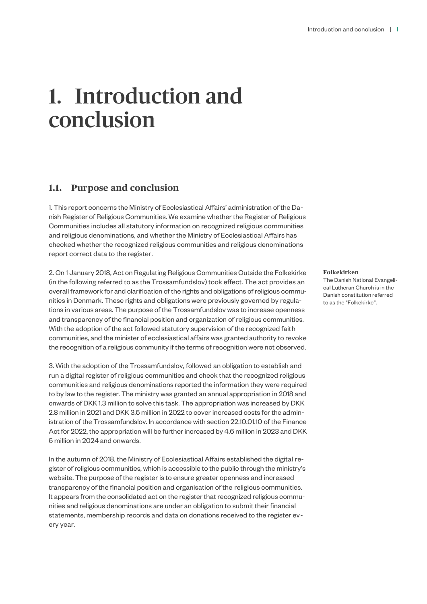# 1. Introduction and conclusion

#### **1.1. Purpose and conclusion**

1. This report concerns the Ministry of Ecclesiastical Affairs' administration of the Danish Register of Religious Communities. We examine whether the Register of Religious Communities includes all statutory information on recognized religious communities and religious denominations, and whether the Ministry of Ecclesiastical Affairs has checked whether the recognized religious communities and religious denominations report correct data to the register.

2. On 1 January 2018, Act on Regulating Religious Communities Outside the Folkekirke (in the following referred to as the Trossamfundslov) took effect. The act provides an overall framework for and clarification of the rights and obligations of religious communities in Denmark. These rights and obligations were previously governed by regulations in various areas. The purpose of the Trossamfundslov was to increase openness and transparency of the financial position and organization of religious communities. With the adoption of the act followed statutory supervision of the recognized faith communities, and the minister of ecclesiastical affairs was granted authority to revoke the recognition of a religious community if the terms of recognition were not observed.

3. With the adoption of the Trossamfundslov, followed an obligation to establish and run a digital register of religious communities and check that the recognized religious communities and religious denominations reported the information they were required to by law to the register. The ministry was granted an annual appropriation in 2018 and onwards of DKK 1.3 million to solve this task. The appropriation was increased by DKK 2.8 million in 2021 and DKK 3.5 million in 2022 to cover increased costs for the administration of the Trossamfundslov. In accordance with section 22.10.01.10 of the Finance Act for 2022, the appropriation will be further increased by 4.6 million in 2023 and DKK 5 million in 2024 and onwards.

In the autumn of 2018, the Ministry of Ecclesiastical Affairs established the digital register of religious communities, which is accessible to the public through the ministry's website. The purpose of the register is to ensure greater openness and increased transparency of the financial position and organisation of the religious communities. It appears from the consolidated act on the register that recognized religious communities and religious denominations are under an obligation to submit their financial statements, membership records and data on donations received to the register every year.

**Folkekirken**

The Danish National Evangelical Lutheran Church is in the Danish constitution referred to as the "Folkekirke".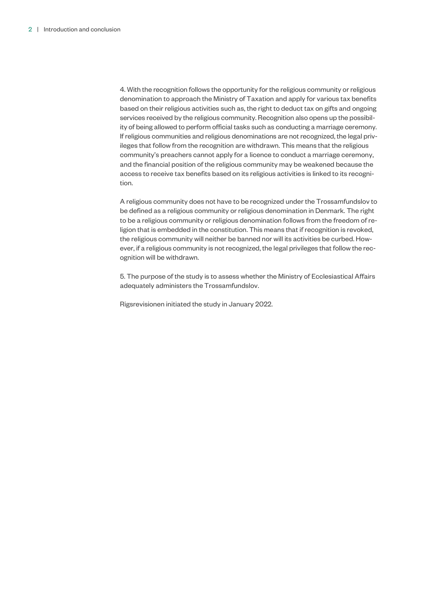4. With the recognition follows the opportunity for the religious community or religious denomination to approach the Ministry of Taxation and apply for various tax benefits based on their religious activities such as, the right to deduct tax on gifts and ongoing services received by the religious community. Recognition also opens up the possibility of being allowed to perform official tasks such as conducting a marriage ceremony. If religious communities and religious denominations are not recognized, the legal privileges that follow from the recognition are withdrawn. This means that the religious community's preachers cannot apply for a licence to conduct a marriage ceremony, and the financial position of the religious community may be weakened because the access to receive tax benefits based on its religious activities is linked to its recognition.

A religious community does not have to be recognized under the Trossamfundslov to be defined as a religious community or religious denomination in Denmark. The right to be a religious community or religious denomination follows from the freedom of religion that is embedded in the constitution. This means that if recognition is revoked, the religious community will neither be banned nor will its activities be curbed. However, if a religious community is not recognized, the legal privileges that follow the recognition will be withdrawn.

5. The purpose of the study is to assess whether the Ministry of Ecclesiastical Affairs adequately administers the Trossamfundslov.

Rigsrevisionen initiated the study in January 2022.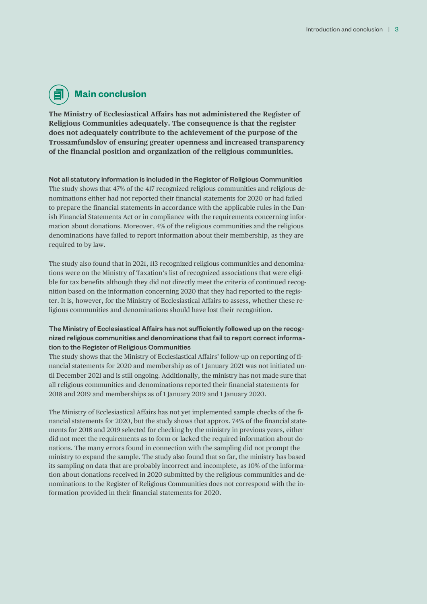## **Main conclusion**

**The Ministry of Ecclesiastical Affairs has not administered the Register of Religious Communities adequately. The consequence is that the register does not adequately contribute to the achievement of the purpose of the Trossamfundslov of ensuring greater openness and increased transparency of the financial position and organization of the religious communities.** 

Not all statutory information is included in the Register of Religious Communities The study shows that 47% of the 417 recognized religious communities and religious denominations either had not reported their financial statements for 2020 or had failed to prepare the financial statements in accordance with the applicable rules in the Danish Financial Statements Act or in compliance with the requirements concerning information about donations. Moreover, 4% of the religious communities and the religious denominations have failed to report information about their membership, as they are required to by law.

The study also found that in 2021, 113 recognized religious communities and denominations were on the Ministry of Taxation's list of recognized associations that were eligible for tax benefits although they did not directly meet the criteria of continued recognition based on the information concerning 2020 that they had reported to the register. It is, however, for the Ministry of Ecclesiastical Affairs to assess, whether these religious communities and denominations should have lost their recognition.

#### The Ministry of Ecclesiastical Affairs has not sufficiently followed up on the recognized religious communities and denominations that fail to report correct information to the Register of Religious Communities

The study shows that the Ministry of Ecclesiastical Affairs' follow-up on reporting of financial statements for 2020 and membership as of 1 January 2021 was not initiated until December 2021 and is still ongoing. Additionally, the ministry has not made sure that all religious communities and denominations reported their financial statements for 2018 and 2019 and memberships as of 1 January 2019 and 1 January 2020.

The Ministry of Ecclesiastical Affairs has not yet implemented sample checks of the financial statements for 2020, but the study shows that approx. 74% of the financial statements for 2018 and 2019 selected for checking by the ministry in previous years, either did not meet the requirements as to form or lacked the required information about donations. The many errors found in connection with the sampling did not prompt the ministry to expand the sample. The study also found that so far, the ministry has based its sampling on data that are probably incorrect and incomplete, as 10% of the information about donations received in 2020 submitted by the religious communities and denominations to the Register of Religious Communities does not correspond with the information provided in their financial statements for 2020.